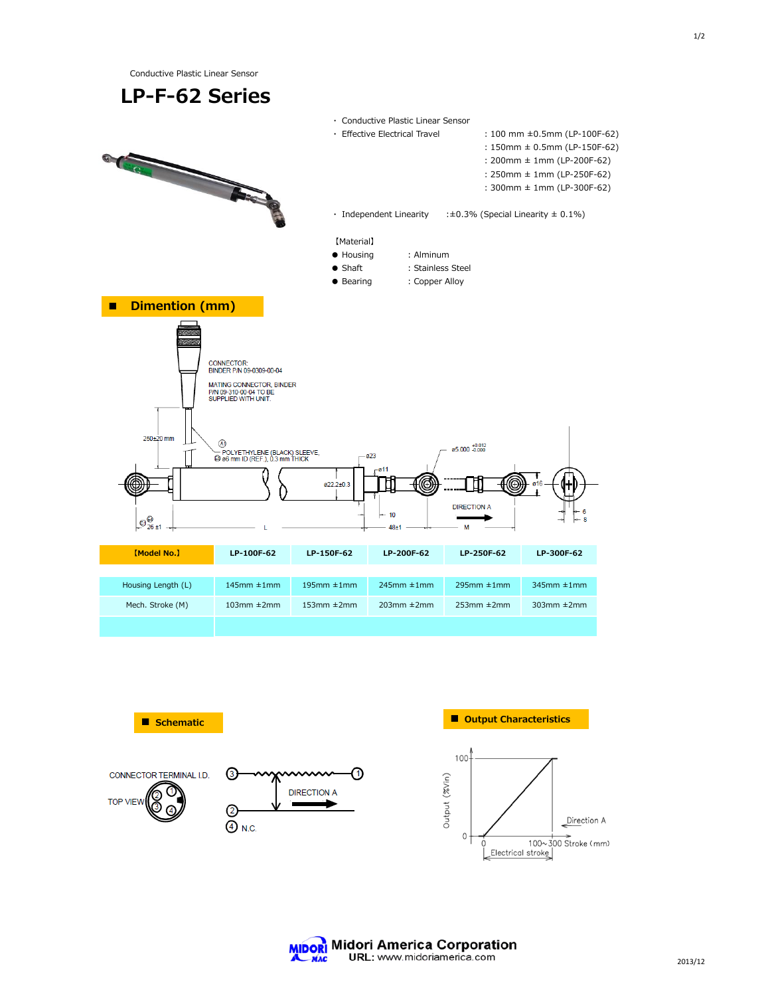1/2

Conductive Plastic Linear Sensor